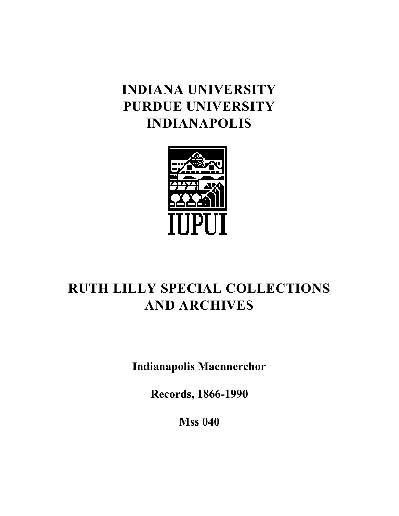# **INDIANA UNIVERSITY PURDUE UNIVERSITY INDIANAPOLIS**



# **RUTH LILLY SPECIAL COLLECTIONS AND ARCHIVES**

**Indianapolis Maennerchor**

**Records, 1866-1990**

**Mss 040**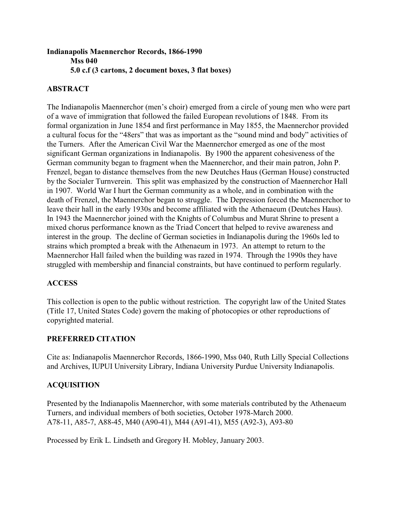## **Indianapolis Maennerchor Records, 1866-1990 Mss 040 5.0 c.f (3 cartons, 2 document boxes, 3 flat boxes)**

## **ABSTRACT**

The Indianapolis Maennerchor (men's choir) emerged from a circle of young men who were part of a wave of immigration that followed the failed European revolutions of 1848. From its formal organization in June 1854 and first performance in May 1855, the Maennerchor provided a cultural focus for the "48ers" that was as important as the "sound mind and body" activities of the Turners. After the American Civil War the Maennerchor emerged as one of the most significant German organizations in Indianapolis. By 1900 the apparent cohesiveness of the German community began to fragment when the Maennerchor, and their main patron, John P. Frenzel, began to distance themselves from the new Deutches Haus (German House) constructed by the Socialer Turnverein. This split was emphasized by the construction of Maennerchor Hall in 1907. World War I hurt the German community as a whole, and in combination with the death of Frenzel, the Maennerchor began to struggle. The Depression forced the Maennerchor to leave their hall in the early 1930s and become affiliated with the Athenaeum (Deutches Haus). In 1943 the Maennerchor joined with the Knights of Columbus and Murat Shrine to present a mixed chorus performance known as the Triad Concert that helped to revive awareness and interest in the group. The decline of German societies in Indianapolis during the 1960s led to strains which prompted a break with the Athenaeum in 1973. An attempt to return to the Maennerchor Hall failed when the building was razed in 1974. Through the 1990s they have struggled with membership and financial constraints, but have continued to perform regularly.

## **ACCESS**

This collection is open to the public without restriction. The copyright law of the United States (Title 17, United States Code) govern the making of photocopies or other reproductions of copyrighted material.

## **PREFERRED CITATION**

Cite as: Indianapolis Maennerchor Records, 1866-1990, Mss 040, Ruth Lilly Special Collections and Archives, IUPUI University Library, Indiana University Purdue University Indianapolis.

# **ACQUISITION**

Presented by the Indianapolis Maennerchor, with some materials contributed by the Athenaeum Turners, and individual members of both societies, October 1978-March 2000. A78-11, A85-7, A88-45, M40 (A90-41), M44 (A91-41), M55 (A92-3), A93-80

Processed by Erik L. Lindseth and Gregory H. Mobley, January 2003.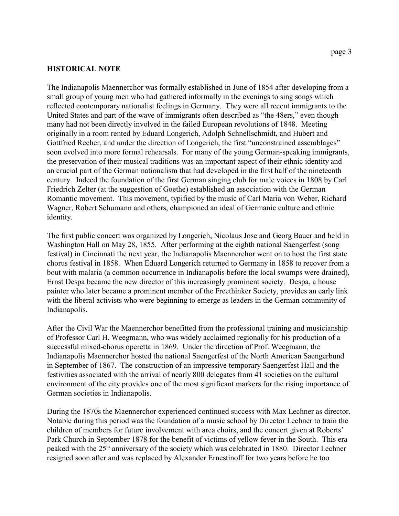#### **HISTORICAL NOTE**

The Indianapolis Maennerchor was formally established in June of 1854 after developing from a small group of young men who had gathered informally in the evenings to sing songs which reflected contemporary nationalist feelings in Germany. They were all recent immigrants to the United States and part of the wave of immigrants often described as "the 48ers," even though many had not been directly involved in the failed European revolutions of 1848. Meeting originally in a room rented by Eduard Longerich, Adolph Schnellschmidt, and Hubert and Gottfried Recher, and under the direction of Longerich, the first "unconstrained assemblages" soon evolved into more formal rehearsals. For many of the young German-speaking immigrants, the preservation of their musical traditions was an important aspect of their ethnic identity and an crucial part of the German nationalism that had developed in the first half of the nineteenth century. Indeed the foundation of the first German singing club for male voices in 1808 by Carl Friedrich Zelter (at the suggestion of Goethe) established an association with the German Romantic movement. This movement, typified by the music of Carl Maria von Weber, Richard Wagner, Robert Schumann and others, championed an ideal of Germanic culture and ethnic identity.

The first public concert was organized by Longerich, Nicolaus Jose and Georg Bauer and held in Washington Hall on May 28, 1855. After performing at the eighth national Saengerfest (song festival) in Cincinnati the next year, the Indianapolis Maennerchor went on to host the first state chorus festival in 1858. When Eduard Longerich returned to Germany in 1858 to recover from a bout with malaria (a common occurrence in Indianapolis before the local swamps were drained), Ernst Despa became the new director of this increasingly prominent society. Despa, a house painter who later became a prominent member of the Freethinker Society, provides an early link with the liberal activists who were beginning to emerge as leaders in the German community of Indianapolis.

After the Civil War the Maennerchor benefitted from the professional training and musicianship of Professor Carl H. Weegmann, who was widely acclaimed regionally for his production of a successful mixed-chorus operetta in 1869. Under the direction of Prof. Weegmann, the Indianapolis Maennerchor hosted the national Saengerfest of the North American Saengerbund in September of 1867. The construction of an impressive temporary Saengerfest Hall and the festivities associated with the arrival of nearly 800 delegates from 41 societies on the cultural environment of the city provides one of the most significant markers for the rising importance of German societies in Indianapolis.

During the 1870s the Maennerchor experienced continued success with Max Lechner as director. Notable during this period was the foundation of a music school by Director Lechner to train the children of members for future involvement with area choirs, and the concert given at Roberts' Park Church in September 1878 for the benefit of victims of yellow fever in the South. This era peaked with the 25<sup>th</sup> anniversary of the society which was celebrated in 1880. Director Lechner resigned soon after and was replaced by Alexander Ernestinoff for two years before he too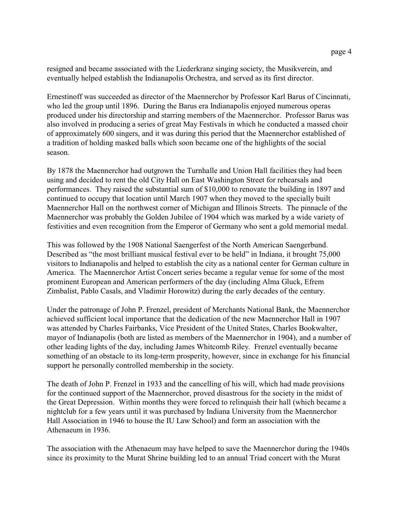resigned and became associated with the Liederkranz singing society, the Musikverein, and eventually helped establish the Indianapolis Orchestra, and served as its first director.

Ernestinoff was succeeded as director of the Maennerchor by Professor Karl Barus of Cincinnati, who led the group until 1896. During the Barus era Indianapolis enjoyed numerous operas produced under his directorship and starring members of the Maennerchor. Professor Barus was also involved in producing a series of great May Festivals in which he conducted a massed choir of approximately 600 singers, and it was during this period that the Maennerchor established of a tradition of holding masked balls which soon became one of the highlights of the social season.

By 1878 the Maennerchor had outgrown the Turnhalle and Union Hall facilities they had been using and decided to rent the old City Hall on East Washington Street for rehearsals and performances. They raised the substantial sum of \$10,000 to renovate the building in 1897 and continued to occupy that location until March 1907 when they moved to the specially built Maennerchor Hall on the northwest corner of Michigan and Illinois Streets. The pinnacle of the Maennerchor was probably the Golden Jubilee of 1904 which was marked by a wide variety of festivities and even recognition from the Emperor of Germany who sent a gold memorial medal.

This was followed by the 1908 National Saengerfest of the North American Saengerbund. Described as "the most brilliant musical festival ever to be held" in Indiana, it brought 75,000 visitors to Indianapolis and helped to establish the city as a national center for German culture in America. The Maennerchor Artist Concert series became a regular venue for some of the most prominent European and American performers of the day (including Alma Gluck, Efrem Zimbalist, Pablo Casals, and Vladimir Horowitz) during the early decades of the century.

Under the patronage of John P. Frenzel, president of Merchants National Bank, the Maennerchor achieved sufficient local importance that the dedication of the new Maennerchor Hall in 1907 was attended by Charles Fairbanks, Vice President of the United States, Charles Bookwalter, mayor of Indianapolis (both are listed as members of the Maennerchor in 1904), and a number of other leading lights of the day, including James Whitcomb Riley. Frenzel eventually became something of an obstacle to its long-term prosperity, however, since in exchange for his financial support he personally controlled membership in the society.

The death of John P. Frenzel in 1933 and the cancelling of his will, which had made provisions for the continued support of the Maennerchor, proved disastrous for the society in the midst of the Great Depression. Within months they were forced to relinquish their hall (which became a nightclub for a few years until it was purchased by Indiana University from the Maennerchor Hall Association in 1946 to house the IU Law School) and form an association with the Athenaeum in 1936.

The association with the Athenaeum may have helped to save the Maennerchor during the 1940s since its proximity to the Murat Shrine building led to an annual Triad concert with the Murat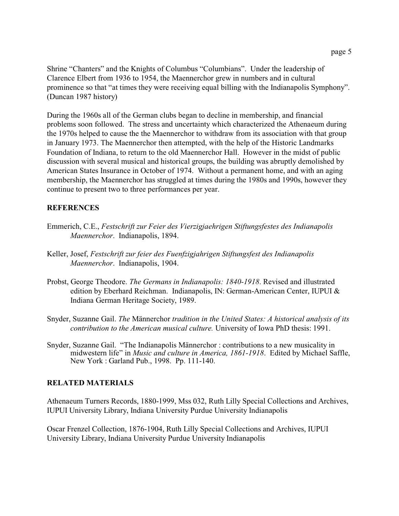Shrine "Chanters" and the Knights of Columbus "Columbians". Under the leadership of Clarence Elbert from 1936 to 1954, the Maennerchor grew in numbers and in cultural prominence so that "at times they were receiving equal billing with the Indianapolis Symphony". (Duncan 1987 history)

During the 1960s all of the German clubs began to decline in membership, and financial problems soon followed. The stress and uncertainty which characterized the Athenaeum during the 1970s helped to cause the the Maennerchor to withdraw from its association with that group in January 1973. The Maennerchor then attempted, with the help of the Historic Landmarks Foundation of Indiana, to return to the old Maennerchor Hall. However in the midst of public discussion with several musical and historical groups, the building was abruptly demolished by American States Insurance in October of 1974. Without a permanent home, and with an aging membership, the Maennerchor has struggled at times during the 1980s and 1990s, however they continue to present two to three performances per year.

## **REFERENCES**

- Emmerich, C.E., *Festschrift zur Feier des Vierzigjaehrigen Stiftungsfestes des Indianapolis Maennerchor*. Indianapolis, 1894.
- Keller, Josef, *Festschrift zur feier des Fuenfzigjahrigen Stiftungsfest des Indianapolis Maennerchor*. Indianapolis, 1904.
- Probst, George Theodore. *The Germans in Indianapolis: 1840-1918*. Revised and illustrated edition by Eberhard Reichman. Indianapolis, IN: German-American Center, IUPUI & Indiana German Heritage Society, 1989.
- Snyder, Suzanne Gail. *The* Männerchor *tradition in the United States: A historical analysis of its contribution to the American musical culture.* University of Iowa PhD thesis: 1991.
- Snyder, Suzanne Gail. "The Indianapolis Männerchor : contributions to a new musicality in midwestern life" in *Music and culture in America, 1861-1918*. Edited by Michael Saffle, New York : Garland Pub., 1998. Pp. 111-140.

## **RELATED MATERIALS**

Athenaeum Turners Records, 1880-1999, Mss 032, Ruth Lilly Special Collections and Archives, IUPUI University Library, Indiana University Purdue University Indianapolis

Oscar Frenzel Collection, 1876-1904, Ruth Lilly Special Collections and Archives, IUPUI University Library, Indiana University Purdue University Indianapolis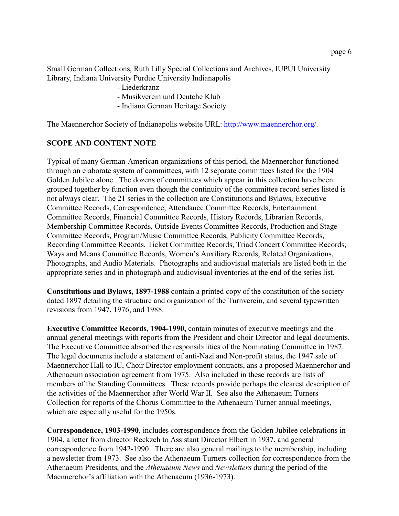Small German Collections, Ruth Lilly Special Collections and Archives, IUPUI University Library, Indiana University Purdue University Indianapolis

- Liederkranz
- Musikverein und Deutche Klub
- Indiana German Heritage Society

The Maennerchor Society of Indianapolis website URL:<http://www.maennerchor.org/>.

#### **SCOPE AND CONTENT NOTE**

Typical of many German-American organizations of this period, the Maennerchor functioned through an elaborate system of committees, with 12 separate committees listed for the 1904 Golden Jubilee alone. The dozens of committees which appear in this collection have been grouped together by function even though the continuity of the committee record series listed is not always clear. The 21 series in the collection are Constitutions and Bylaws, Executive Committee Records, Correspondence, Attendance Committee Records, Entertainment Committee Records, Financial Committee Records, History Records, Librarian Records, Membership Committee Records, Outside Events Committee Records, Production and Stage Committee Records, Program/Music Committee Records, Publicity Committee Records, Recording Committee Records, Ticket Committee Records, Triad Concert Committee Records, Ways and Means Committee Records, Women's Auxiliary Records, Related Organizations, Photographs, and Audio Materials. Photographs and audiovisual materials are listed both in the appropriate series and in photograph and audiovisual inventories at the end of the series list.

**Constitutions and Bylaws, 1897-1988** contain a printed copy of the constitution of the society dated 1897 detailing the structure and organization of the Turnverein, and several typewritten revisions from 1947, 1976, and 1988.

**Executive Committee Records, 1904-1990,** contain minutes of executive meetings and the annual general meetings with reports from the President and choir Director and legal documents. The Executive Committee absorbed the responsibilities of the Nominating Committee in 1987. The legal documents include a statement of anti-Nazi and Non-profit status, the 1947 sale of Maennerchor Hall to IU, Choir Director employment contracts, ans a proposed Maennerchor and Athenaeum association agreement from 1975. Also included in these records are lists of members of the Standing Committees. These records provide perhaps the clearest description of the activities of the Maennerchor after World War II. See also the Athenaeum Turners Collection for reports of the Chorus Committee to the Athenaeum Turner annual meetings, which are especially useful for the 1950s.

**Correspondence, 1903-1990**, includes correspondence from the Golden Jubilee celebrations in 1904, a letter from director Reckzeh to Assistant Director Elbert in 1937, and general correspondence from 1942-1990. There are also general mailings to the membership, including a newsletter from 1973. See also the Athenaeum Turners collection for correspondence from the Athenaeum Presidents, and the *Athenaeum News* and *Newsletters* during the period of the Maennerchor's affiliation with the Athenaeum (1936-1973).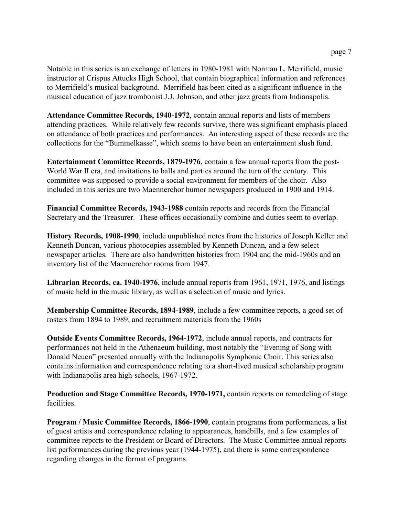Notable in this series is an exchange of letters in 1980-1981 with Norman L. Merrifield, music instructor at Crispus Attucks High School, that contain biographical information and references to Merrifield's musical background. Merrifield has been cited as a significant influence in the musical education of jazz trombonist J.J. Johnson, and other jazz greats from Indianapolis.

**Attendance Committee Records, 1940-1972**, contain annual reports and lists of members attending practices. While relatively few records survive, there was significant emphasis placed on attendance of both practices and performances. An interesting aspect of these records are the collections for the "Bummelkasse", which seems to have been an entertainment slush fund.

**Entertainment Committee Records, 1879-1976**, contain a few annual reports from the post-World War II era, and invitations to balls and parties around the turn of the century. This committee was supposed to provide a social environment for members of the choir. Also included in this series are two Maennerchor humor newspapers produced in 1900 and 1914.

**Financial Committee Records, 1943-1988** contain reports and records from the Financial Secretary and the Treasurer. These offices occasionally combine and duties seem to overlap.

**History Records, 1908-1990**, include unpublished notes from the histories of Joseph Keller and Kenneth Duncan, various photocopies assembled by Kenneth Duncan, and a few select newspaper articles. There are also handwritten histories from 1904 and the mid-1960s and an inventory list of the Maennerchor rooms from 1947.

**Librarian Records, ca. 1940-1976**, include annual reports from 1961, 1971, 1976, and listings of music held in the music library, as well as a selection of music and lyrics.

**Membership Committee Records, 1894-1989**, include a few committee reports, a good set of rosters from 1894 to 1989, and recruitment materials from the 1960s

**Outside Events Committee Records, 1964-1972**, include annual reports, and contracts for performances not held in the Athenaeum building, most notably the "Evening of Song with Donald Neuen" presented annually with the Indianapolis Symphonic Choir. This series also contains information and correspondence relating to a short-lived musical scholarship program with Indianapolis area high-schools, 1967-1972.

**Production and Stage Committee Records, 1970-1971,** contain reports on remodeling of stage facilities.

**Program / Music Committee Records, 1866-1990**, contain programs from performances, a list of guest artists and correspondence relating to appearances, handbills, and a few examples of committee reports to the President or Board of Directors. The Music Committee annual reports list performances during the previous year (1944-1975), and there is some correspondence regarding changes in the format of programs.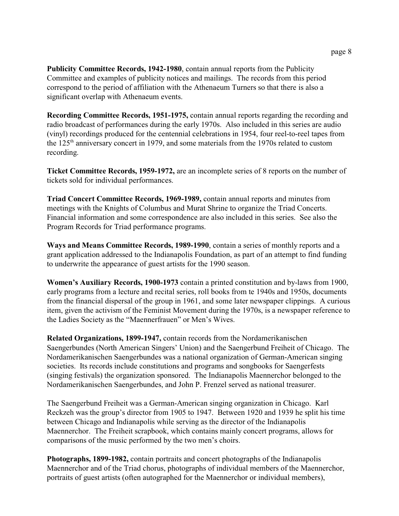**Publicity Committee Records, 1942-1980**, contain annual reports from the Publicity Committee and examples of publicity notices and mailings. The records from this period correspond to the period of affiliation with the Athenaeum Turners so that there is also a significant overlap with Athenaeum events.

**Recording Committee Records, 1951-1975,** contain annual reports regarding the recording and radio broadcast of performances during the early 1970s. Also included in this series are audio (vinyl) recordings produced for the centennial celebrations in 1954, four reel-to-reel tapes from the  $125<sup>th</sup>$  anniversary concert in 1979, and some materials from the 1970s related to custom recording.

**Ticket Committee Records, 1959-1972,** are an incomplete series of 8 reports on the number of tickets sold for individual performances.

**Triad Concert Committee Records, 1969-1989,** contain annual reports and minutes from meetings with the Knights of Columbus and Murat Shrine to organize the Triad Concerts. Financial information and some correspondence are also included in this series. See also the Program Records for Triad performance programs.

**Ways and Means Committee Records, 1989-1990**, contain a series of monthly reports and a grant application addressed to the Indianapolis Foundation, as part of an attempt to find funding to underwrite the appearance of guest artists for the 1990 season.

**Women's Auxiliary Records, 1900-1973** contain a printed constitution and by-laws from 1900, early programs from a lecture and recital series, roll books from te 1940s and 1950s, documents from the financial dispersal of the group in 1961, and some later newspaper clippings. A curious item, given the activism of the Feminist Movement during the 1970s, is a newspaper reference to the Ladies Society as the "Maennerfrauen" or Men's Wives.

**Related Organizations, 1899-1947,** contain records from the Nordamerikanischen Saengerbundes (North American Singers' Union) and the Saengerbund Freiheit of Chicago. The Nordamerikanischen Saengerbundes was a national organization of German-American singing societies. Its records include constitutions and programs and songbooks for Saengerfests (singing festivals) the organization sponsored. The Indianapolis Maennerchor belonged to the Nordamerikanischen Saengerbundes, and John P. Frenzel served as national treasurer.

The Saengerbund Freiheit was a German-American singing organization in Chicago. Karl Reckzeh was the group's director from 1905 to 1947. Between 1920 and 1939 he split his time between Chicago and Indianapolis while serving as the director of the Indianapolis Maennerchor. The Freiheit scrapbook, which contains mainly concert programs, allows for comparisons of the music performed by the two men's choirs.

**Photographs, 1899-1982,** contain portraits and concert photographs of the Indianapolis Maennerchor and of the Triad chorus, photographs of individual members of the Maennerchor, portraits of guest artists (often autographed for the Maennerchor or individual members),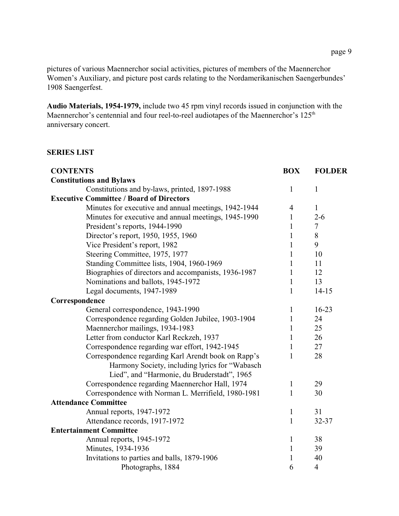pictures of various Maennerchor social activities, pictures of members of the Maennerchor Women's Auxiliary, and picture post cards relating to the Nordamerikanischen Saengerbundes' 1908 Saengerfest.

**Audio Materials, 1954-1979,** include two 45 rpm vinyl records issued in conjunction with the Maennerchor's centennial and four reel-to-reel audiotapes of the Maennerchor's 125<sup>th</sup> anniversary concert.

## **SERIES LIST**

| <b>CONTENTS</b>                                                                               | <b>BOX</b>     | <b>FOLDER</b>  |
|-----------------------------------------------------------------------------------------------|----------------|----------------|
| <b>Constitutions and Bylaws</b>                                                               |                |                |
| Constitutions and by-laws, printed, 1897-1988                                                 | $\mathbf{1}$   | $\mathbf{1}$   |
| <b>Executive Committee / Board of Directors</b>                                               |                |                |
| Minutes for executive and annual meetings, 1942-1944                                          | $\overline{4}$ | $\mathbf{1}$   |
| Minutes for executive and annual meetings, 1945-1990                                          | $\mathbf{1}$   | $2 - 6$        |
| President's reports, 1944-1990                                                                | 1              | $\tau$         |
| Director's report, 1950, 1955, 1960                                                           | 1              | 8              |
| Vice President's report, 1982                                                                 | 1              | 9              |
| Steering Committee, 1975, 1977                                                                | 1              | 10             |
| Standing Committee lists, 1904, 1960-1969                                                     | 1              | 11             |
| Biographies of directors and accompanists, 1936-1987                                          | $\mathbf{1}$   | 12             |
| Nominations and ballots, 1945-1972                                                            | $\mathbf{1}$   | 13             |
| Legal documents, 1947-1989                                                                    | 1              | $14 - 15$      |
| Correspondence                                                                                |                |                |
| General correspondence, 1943-1990                                                             | 1              | $16 - 23$      |
| Correspondence regarding Golden Jubilee, 1903-1904                                            | 1              | 24             |
| Maennerchor mailings, 1934-1983                                                               | 1              | 25             |
| Letter from conductor Karl Reckzeh, 1937                                                      | 1              | 26             |
| Correspondence regarding war effort, 1942-1945                                                | 1              | 27             |
| Correspondence regarding Karl Arendt book on Rapp's                                           | 1              | 28             |
| Harmony Society, including lyrics for "Wabasch<br>Lied", and "Harmonie, du Bruderstadt", 1965 |                |                |
| Correspondence regarding Maennerchor Hall, 1974                                               | 1              | 29             |
| Correspondence with Norman L. Merrifield, 1980-1981                                           | $\mathbf{1}$   | 30             |
| <b>Attendance Committee</b>                                                                   |                |                |
| Annual reports, 1947-1972                                                                     | $\mathbf{1}$   | 31             |
| Attendance records, 1917-1972                                                                 | 1              | 32-37          |
| <b>Entertainment Committee</b>                                                                |                |                |
| Annual reports, 1945-1972                                                                     | $\mathbf{1}$   | 38             |
| Minutes, 1934-1936                                                                            | $\mathbf{1}$   | 39             |
| Invitations to parties and balls, 1879-1906                                                   | 1              | 40             |
| Photographs, 1884                                                                             | 6              | $\overline{4}$ |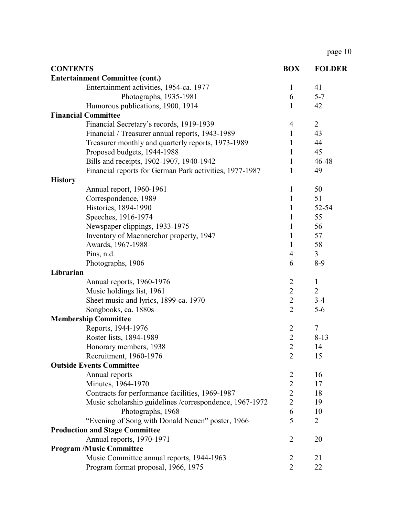page 10

| <b>CONTENTS</b>                                         | <b>BOX</b>     | <b>FOLDER</b>  |
|---------------------------------------------------------|----------------|----------------|
| <b>Entertainment Committee (cont.)</b>                  |                |                |
| Entertainment activities, 1954-ca. 1977                 | $\mathbf{1}$   | 41             |
| Photographs, 1935-1981                                  | 6              | $5 - 7$        |
| Humorous publications, 1900, 1914                       | 1              | 42             |
| <b>Financial Committee</b>                              |                |                |
| Financial Secretary's records, 1919-1939                | 4              | $\overline{2}$ |
| Financial / Treasurer annual reports, 1943-1989         | $\mathbf{1}$   | 43             |
| Treasurer monthly and quarterly reports, 1973-1989      | 1              | 44             |
| Proposed budgets, 1944-1988                             | $\mathbf{1}$   | 45             |
| Bills and receipts, 1902-1907, 1940-1942                | 1              | 46-48          |
| Financial reports for German Park activities, 1977-1987 | 1              | 49             |
| <b>History</b>                                          |                |                |
| Annual report, 1960-1961                                | $\mathbf{1}$   | 50             |
| Correspondence, 1989                                    | 1              | 51             |
| Histories, 1894-1990                                    | 1              | 52-54          |
| Speeches, 1916-1974                                     | $\mathbf{1}$   | 55             |
| Newspaper clippings, 1933-1975                          | $\mathbf{1}$   | 56             |
| Inventory of Maennerchor property, 1947                 | $\mathbf{1}$   | 57             |
| Awards, 1967-1988                                       | 1              | 58             |
| Pins, n.d.                                              | 4              | $\overline{3}$ |
| Photographs, 1906                                       | 6              | $8-9$          |
| Librarian                                               |                |                |
| Annual reports, 1960-1976                               | $\overline{c}$ | $\mathbf{1}$   |
| Music holdings list, 1961                               | $\overline{2}$ | $\overline{2}$ |
| Sheet music and lyrics, 1899-ca. 1970                   | $\overline{2}$ | $3-4$          |
| Songbooks, ca. 1880s                                    | $\overline{2}$ | $5-6$          |
| <b>Membership Committee</b>                             |                |                |
| Reports, 1944-1976                                      | $\overline{2}$ | 7              |
| Roster lists, 1894-1989                                 | $\overline{2}$ | $8 - 13$       |
| Honorary members, 1938                                  | $\overline{c}$ | 14             |
| Recruitment, 1960-1976                                  | $\overline{2}$ | 15             |
| <b>Outside Events Committee</b>                         |                |                |
| Annual reports                                          | $\overline{c}$ | 16             |
| Minutes, 1964-1970                                      | $\overline{2}$ | 17             |
| Contracts for performance facilities, 1969-1987         | $\overline{2}$ | 18             |
| Music scholarship guidelines /correspondence, 1967-1972 | $\overline{2}$ | 19             |
| Photographs, 1968                                       | 6              | 10             |
| "Evening of Song with Donald Neuen" poster, 1966        | 5              | $\overline{2}$ |
| <b>Production and Stage Committee</b>                   |                |                |
| Annual reports, 1970-1971                               | $\overline{2}$ | 20             |
| <b>Program /Music Committee</b>                         |                |                |
| Music Committee annual reports, 1944-1963               | $\overline{2}$ | 21             |
| Program format proposal, 1966, 1975                     | $\overline{2}$ | 22             |
|                                                         |                |                |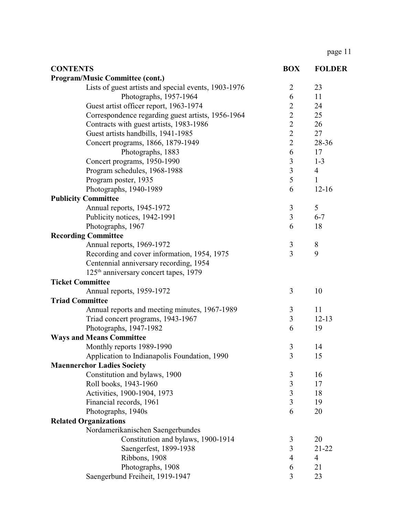page 11

| <b>CONTENTS</b>                                      | <b>BOX</b>     | <b>FOLDER</b>  |
|------------------------------------------------------|----------------|----------------|
| Program/Music Committee (cont.)                      |                |                |
| Lists of guest artists and special events, 1903-1976 | $\overline{2}$ | 23             |
| Photographs, 1957-1964                               | 6              | 11             |
| Guest artist officer report, 1963-1974               | $\overline{2}$ | 24             |
| Correspondence regarding guest artists, 1956-1964    | $\overline{2}$ | 25             |
| Contracts with guest artists, 1983-1986              | $\overline{2}$ | 26             |
| Guest artists handbills, 1941-1985                   | $\overline{2}$ | 27             |
| Concert programs, 1866, 1879-1949                    | $\overline{2}$ | 28-36          |
| Photographs, 1883                                    | 6              | 17             |
| Concert programs, 1950-1990                          | $\mathfrak{Z}$ | $1 - 3$        |
| Program schedules, 1968-1988                         | $\overline{3}$ | $\overline{4}$ |
| Program poster, 1935                                 | 5              | 1              |
| Photographs, 1940-1989                               | 6              | $12 - 16$      |
| <b>Publicity Committee</b>                           |                |                |
| Annual reports, 1945-1972                            | 3              | 5              |
| Publicity notices, 1942-1991                         | 3              | $6 - 7$        |
| Photographs, 1967                                    | 6              | 18             |
| <b>Recording Committee</b>                           |                |                |
| Annual reports, 1969-1972                            | $\mathfrak{Z}$ | 8              |
| Recording and cover information, 1954, 1975          | $\overline{3}$ | 9              |
| Centennial anniversary recording, 1954               |                |                |
| 125 <sup>th</sup> anniversary concert tapes, 1979    |                |                |
| <b>Ticket Committee</b>                              |                |                |
| Annual reports, 1959-1972                            | 3              | 10             |
| <b>Triad Committee</b>                               |                |                |
| Annual reports and meeting minutes, 1967-1989        | 3              | 11             |
| Triad concert programs, 1943-1967                    | $\mathfrak{Z}$ | $12 - 13$      |
| Photographs, 1947-1982                               | 6              | 19             |
| <b>Ways and Means Committee</b>                      |                |                |
| Monthly reports 1989-1990                            | 3              | 14             |
| Application to Indianapolis Foundation, 1990         | 3              | 15             |
| <b>Maennerchor Ladies Society</b>                    |                |                |
| Constitution and bylaws, 1900                        | 3              | 16             |
| Roll books, 1943-1960                                | $\overline{3}$ | 17             |
| Activities, 1900-1904, 1973                          | 3              | 18             |
| Financial records, 1961                              | $\overline{3}$ | 19             |
| Photographs, 1940s                                   | 6              | 20             |
| <b>Related Organizations</b>                         |                |                |
| Nordamerikanischen Saengerbundes                     |                |                |
| Constitution and bylaws, 1900-1914                   | 3              | 20             |
| Saengerfest, 1899-1938                               | 3              | $21 - 22$      |
| Ribbons, 1908                                        | 4              | $\overline{4}$ |
| Photographs, 1908                                    | 6              | 21             |
| Saengerbund Freiheit, 1919-1947                      | 3              | 23             |